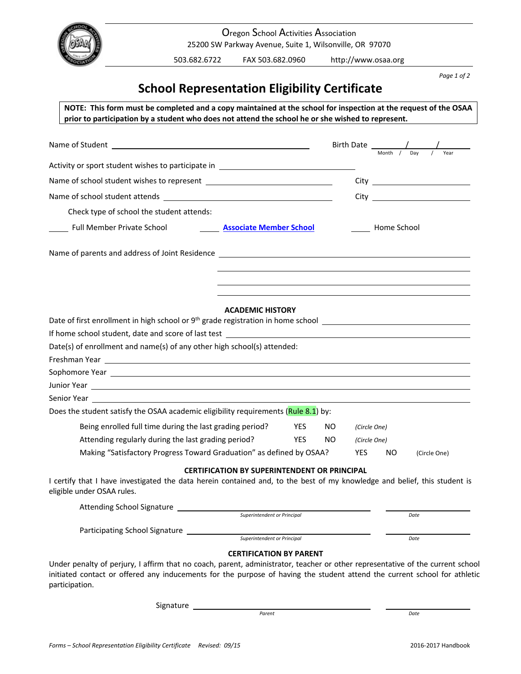

 Oregon School Activities Association 25200 SW Parkway Avenue, Suite 1, Wilsonville, OR 97070

503.682.6722 FAX 503.682.0960 http://www.osaa.org

 *Page 1 of 2*

# **School Representation Eligibility Certificate**

NOTE: This form must be completed and a copy maintained at the school for inspection at the request of the OSAA prior to participation by a student who does not attend the school he or she wished to represent.

|                                                                                                                                                                                                                                                                               |                                                     |  |     |              | Birth Date $\frac{1}{\frac{1}{\text{Month} + \text{Day} + \text{Day} + \text{Day}}}$ |      |              |  |
|-------------------------------------------------------------------------------------------------------------------------------------------------------------------------------------------------------------------------------------------------------------------------------|-----------------------------------------------------|--|-----|--------------|--------------------------------------------------------------------------------------|------|--------------|--|
| Activity or sport student wishes to participate in _____________________________                                                                                                                                                                                              |                                                     |  |     |              |                                                                                      |      |              |  |
|                                                                                                                                                                                                                                                                               |                                                     |  |     |              |                                                                                      |      |              |  |
|                                                                                                                                                                                                                                                                               |                                                     |  |     |              |                                                                                      |      |              |  |
| Check type of school the student attends:                                                                                                                                                                                                                                     |                                                     |  |     |              |                                                                                      |      |              |  |
|                                                                                                                                                                                                                                                                               |                                                     |  |     |              |                                                                                      |      |              |  |
| Full Member Private School <b>National Associate Member School</b>                                                                                                                                                                                                            |                                                     |  |     |              | Home School                                                                          |      |              |  |
|                                                                                                                                                                                                                                                                               |                                                     |  |     |              |                                                                                      |      |              |  |
|                                                                                                                                                                                                                                                                               |                                                     |  |     |              |                                                                                      |      |              |  |
|                                                                                                                                                                                                                                                                               |                                                     |  |     |              |                                                                                      |      |              |  |
| Date of first enrollment in high school or 9 <sup>th</sup> grade registration in home school ______________________________                                                                                                                                                   | <b>ACADEMIC HISTORY</b>                             |  |     |              |                                                                                      |      |              |  |
| If home school student, date and score of last test <b>All and School State and School Student</b> , date and score of last test <b>All and School Student</b> , date and score of last test <b>All and School Student</b> and School Student a                               |                                                     |  |     |              |                                                                                      |      |              |  |
| Date(s) of enrollment and name(s) of any other high school(s) attended:                                                                                                                                                                                                       |                                                     |  |     |              |                                                                                      |      |              |  |
|                                                                                                                                                                                                                                                                               |                                                     |  |     |              |                                                                                      |      |              |  |
| Sophomore Year 2008 and 2008 and 2008 and 2008 and 2008 and 2008 and 2008 and 2008 and 2008 and 2008 and 2008 and 2008 and 2008 and 2008 and 2008 and 2008 and 2008 and 2008 and 2008 and 2008 and 2008 and 2008 and 2008 and                                                 |                                                     |  |     |              |                                                                                      |      |              |  |
|                                                                                                                                                                                                                                                                               |                                                     |  |     |              |                                                                                      |      |              |  |
| Senior Year and the Senior Assembly                                                                                                                                                                                                                                           |                                                     |  |     |              |                                                                                      |      |              |  |
| Does the student satisfy the OSAA academic eligibility requirements (Rule 8.1) by:                                                                                                                                                                                            |                                                     |  |     |              |                                                                                      |      |              |  |
| Being enrolled full time during the last grading period?<br><b>YES</b><br>NO.                                                                                                                                                                                                 |                                                     |  |     |              | (Circle One)                                                                         |      |              |  |
| Attending regularly during the last grading period?<br><b>YES</b>                                                                                                                                                                                                             |                                                     |  | NO. | (Circle One) |                                                                                      |      |              |  |
| Making "Satisfactory Progress Toward Graduation" as defined by OSAA?                                                                                                                                                                                                          |                                                     |  |     | YES          | <b>NO</b>                                                                            |      | (Circle One) |  |
|                                                                                                                                                                                                                                                                               | <b>CERTIFICATION BY SUPERINTENDENT OR PRINCIPAL</b> |  |     |              |                                                                                      |      |              |  |
| I certify that I have investigated the data herein contained and, to the best of my knowledge and belief, this student is<br>eligible under OSAA rules.                                                                                                                       |                                                     |  |     |              |                                                                                      |      |              |  |
| <b>Attending School Signature</b>                                                                                                                                                                                                                                             |                                                     |  |     |              |                                                                                      |      |              |  |
|                                                                                                                                                                                                                                                                               | Superintendent or Principal                         |  |     |              |                                                                                      | Date |              |  |
| Participating School Signature                                                                                                                                                                                                                                                | Superintendent or Principal                         |  |     |              |                                                                                      | Date |              |  |
|                                                                                                                                                                                                                                                                               | <b>CERTIFICATION BY PARENT</b>                      |  |     |              |                                                                                      |      |              |  |
| Under penalty of perjury, I affirm that no coach, parent, administrator, teacher or other representative of the current school<br>initiated contact or offered any inducements for the purpose of having the student attend the current school for athletic<br>participation. |                                                     |  |     |              |                                                                                      |      |              |  |

Signature

 $\frac{1}{2}$   $\frac{1}{2}$  $\frac{1}{2}$  $\frac{1}{2}$  $\frac{1}{2}$  $\frac{1}{2}$  $\frac{1}{2}$  $\frac{1}{2}$  $\frac{1}{2}$  $\frac{1}{2}$  $\frac{1}{2}$  $\frac{1}{2}$  $\frac{1}{2}$  $\frac{1}{2}$  $\frac{1}{2}$  $\frac{1}{2}$  $\frac{1}{2}$  $\frac{1}{2}$  $\frac{1}{2}$  $\frac{1}{2}$  $\frac{1}{2}$  *\frac{1}{2}* 

*Parent Date*